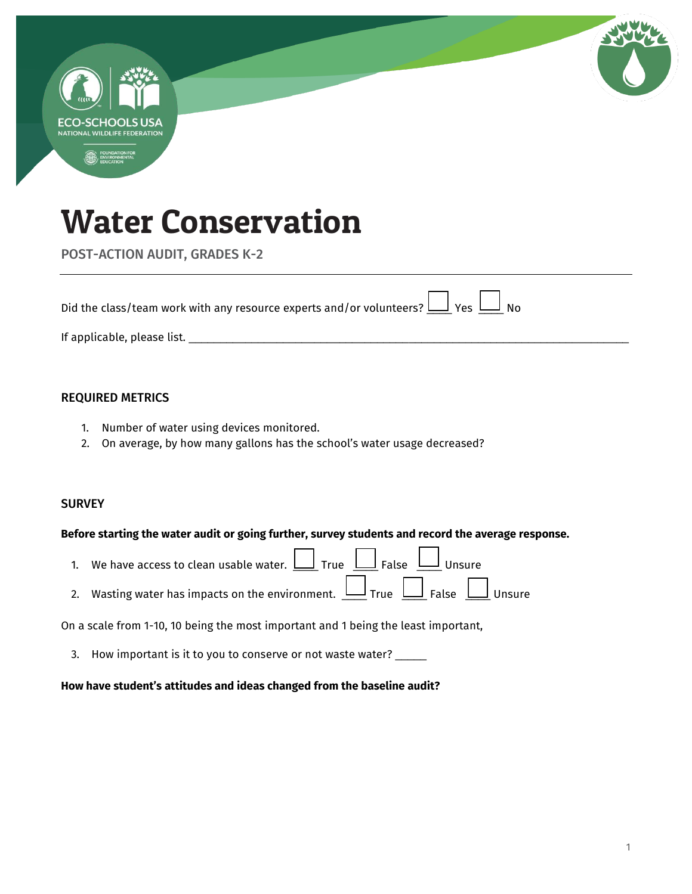

POST-ACTION AUDIT, GRADES K-2

| Did the class/team work with any resource experts and/or volunteers? $\boxed{\underline{\hspace{1cm}}}$ Yes $\boxed{\underline{\hspace{1cm}}}$ No |  |
|---------------------------------------------------------------------------------------------------------------------------------------------------|--|
| If applicable, please list.                                                                                                                       |  |

### REQUIRED METRICS

- 1. Number of water using devices monitored.
- 2. On average, by how many gallons has the school's water usage decreased?

### **SURVEY**

#### **Before starting the water audit or going further, survey students and record the average response.**

- 1. We have access to clean usable water.  $\Box$  True  $\Box$  False  $\Box$  Unsure
- 2. Wasting water has impacts on the environment.  $\Box$  True  $\Box$  False  $\Box$  Unsure

On a scale from 1-10, 10 being the most important and 1 being the least important,

3. How important is it to you to conserve or not waste water? \_\_\_\_\_

#### **How have student's attitudes and ideas changed from the baseline audit?**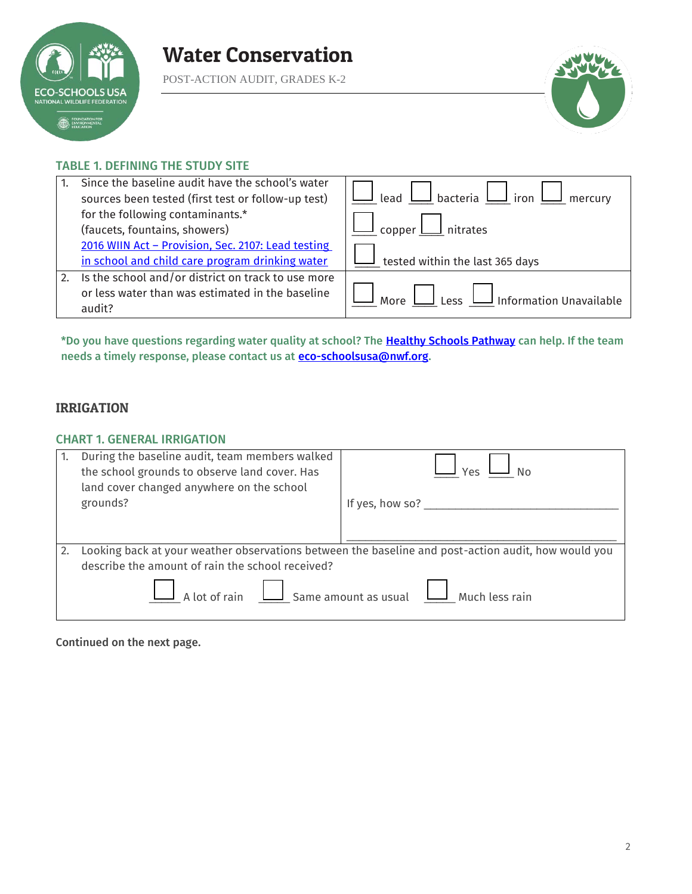

POST-ACTION AUDIT, GRADES K-2



### TABLE 1. DEFINING THE STUDY SITE

|    | Since the baseline audit have the school's water<br>sources been tested (first test or follow-up test) | Lead $\bigsqcup$ bacteria $\bigsqcup$ iron $\bigsqcup$<br>mercury |
|----|--------------------------------------------------------------------------------------------------------|-------------------------------------------------------------------|
|    | for the following contaminants.*                                                                       |                                                                   |
|    | (faucets, fountains, showers)                                                                          | nitrates<br>copper L                                              |
|    | 2016 WIIN Act - Provision, Sec. 2107: Lead testing                                                     |                                                                   |
|    | in school and child care program drinking water                                                        | tested within the last 365 days                                   |
| 2. | Is the school and/or district on track to use more                                                     |                                                                   |
|    | or less water than was estimated in the baseline                                                       | Less II Information Unavailable<br>More                           |
|    | audit?                                                                                                 |                                                                   |

\*Do you have questions regarding water quality at school? The [Healthy Schools Pathway c](https://www.nwf.org/Eco-Schools-USA/Become-an-Eco-School/Pathways/Healthy-Schools)an help. If the team needs a timely response, please contact us at **eco-schoolsusa@nwf.org**.

# IRRIGATION

#### CHART 1. GENERAL IRRIGATION

| During the baseline audit, team members walked<br>the school grounds to observe land cover. Has<br>land cover changed anywhere on the school |                                                                                                     |
|----------------------------------------------------------------------------------------------------------------------------------------------|-----------------------------------------------------------------------------------------------------|
| grounds?                                                                                                                                     | If yes, how so? ___________                                                                         |
|                                                                                                                                              |                                                                                                     |
|                                                                                                                                              |                                                                                                     |
|                                                                                                                                              | Looking back at your weather observations between the baseline and post-action audit, how would you |
| describe the amount of rain the school received?                                                                                             |                                                                                                     |
|                                                                                                                                              | $\boxed{\phantom{a}}$ A lot of rain $\phantom{a}$ Same amount as usual $\phantom{a}$ Much less rain |

Continued on the next page.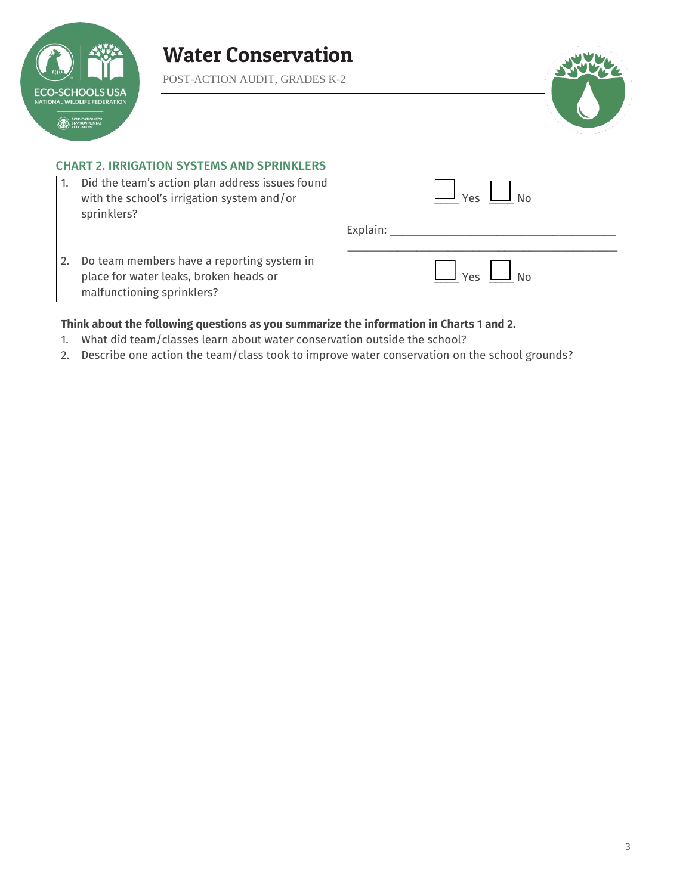

POST-ACTION AUDIT, GRADES K-2



### CHART 2. IRRIGATION SYSTEMS AND SPRINKLERS

|    | Did the team's action plan address issues found<br>with the school's irrigation system and/or<br>sprinklers?       | Υρς      |
|----|--------------------------------------------------------------------------------------------------------------------|----------|
|    |                                                                                                                    | Explain: |
| 2. | Do team members have a reporting system in<br>place for water leaks, broken heads or<br>malfunctioning sprinklers? | Yes      |

### **Think about the following questions as you summarize the information in Charts 1 and 2.**

- 1. What did team/classes learn about water conservation outside the school?
- 2. Describe one action the team/class took to improve water conservation on the school grounds?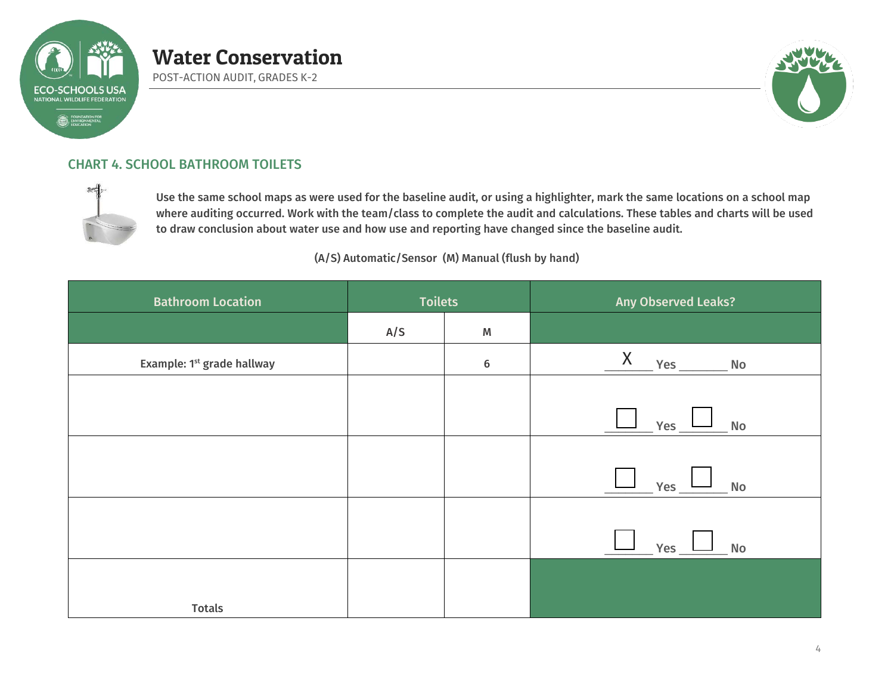

POST-ACTION AUDIT, GRADES K-2



# CHART 4. SCHOOL BATHROOM TOILETS



Use the same school maps as were used for the baseline audit, or using a highlighter, mark the same locations on a school map where auditing occurred. Work with the team/class to complete the audit and calculations. These tables and charts will be used to draw conclusion about water use and how use and reporting have changed since the baseline audit.

(A/S) Automatic/Sensor (M) Manual (flush by hand)

| <b>Bathroom Location</b>               | <b>Toilets</b> |                 | Any Observed Leaks?                          |
|----------------------------------------|----------------|-----------------|----------------------------------------------|
|                                        | A/S            | M               |                                              |
| Example: 1 <sup>st</sup> grade hallway |                | $6\phantom{1}6$ | X<br>Yes<br>No                               |
|                                        |                |                 |                                              |
|                                        |                |                 | Yes<br>$N$ o                                 |
|                                        |                |                 |                                              |
|                                        |                |                 | Yes<br>No.                                   |
|                                        |                |                 |                                              |
|                                        |                |                 | Yes $\_$ $\_$<br>$\overline{\phantom{a}}$ No |
|                                        |                |                 |                                              |
| <b>Totals</b>                          |                |                 |                                              |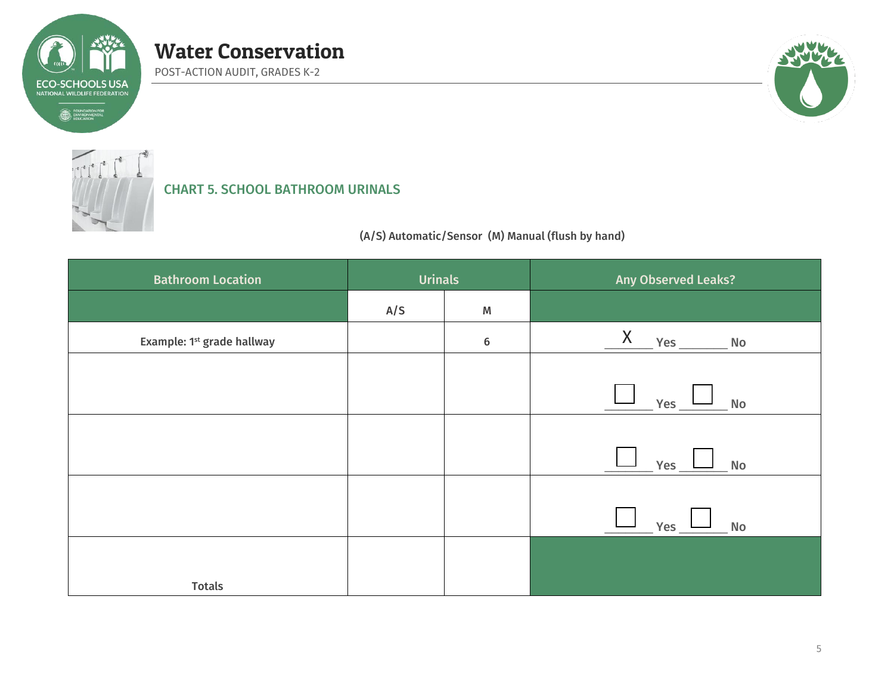

POST-ACTION AUDIT, GRADES K-2



# CHART 5. SCHOOL BATHROOM URINALS

(A/S) Automatic/Sensor (M) Manual (flush by hand)

| <b>Bathroom Location</b>               | <b>Urinals</b> |         | Any Observed Leaks?                          |
|----------------------------------------|----------------|---------|----------------------------------------------|
|                                        | A/S            | M       |                                              |
| Example: 1 <sup>st</sup> grade hallway |                | $\bf 6$ | $X$ $Yes$ $No$                               |
|                                        |                |         |                                              |
|                                        |                |         | Yes $\overline{\phantom{a}}$<br>No           |
|                                        |                |         |                                              |
|                                        |                |         | Yes $\_\_\_\_\_\$<br>No.                     |
|                                        |                |         |                                              |
|                                        |                |         | $\overline{\phantom{a}}$ No<br>$\_$ Yes $\_$ |
|                                        |                |         |                                              |
| <b>Totals</b>                          |                |         |                                              |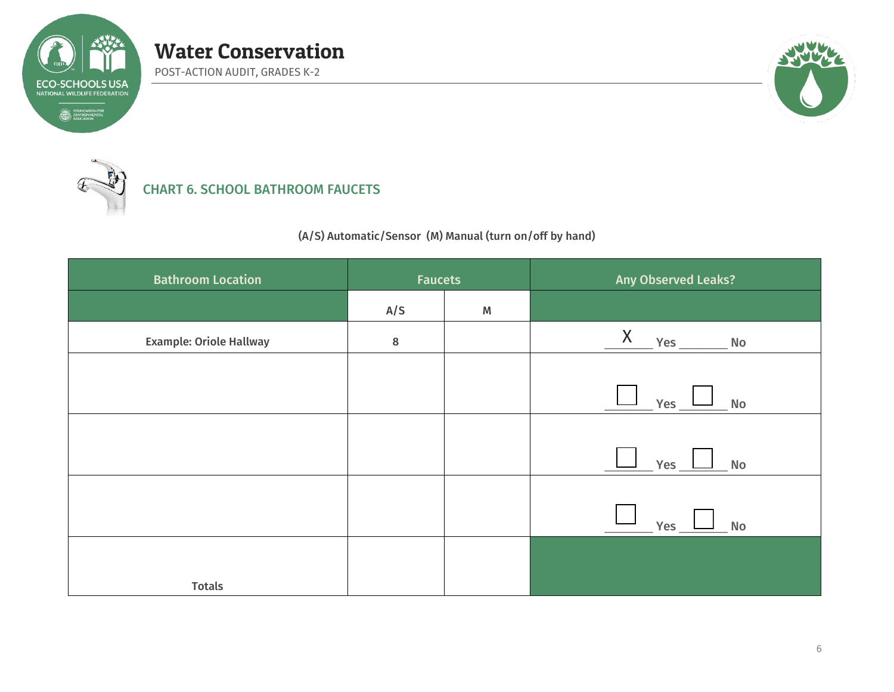

POST-ACTION AUDIT, GRADES K-2



CHART 6. SCHOOL BATHROOM FAUCETS

(A/S) Automatic/Sensor (M) Manual (turn on/off by hand)

| <b>Bathroom Location</b>       | <b>Faucets</b> |           | Any Observed Leaks?                       |
|--------------------------------|----------------|-----------|-------------------------------------------|
|                                | A/S            | ${\sf M}$ |                                           |
| <b>Example: Oriole Hallway</b> | 8              |           |                                           |
|                                |                |           |                                           |
|                                |                |           | $Yes$ $\frac{1}{1}$<br><b>No</b>          |
|                                |                |           |                                           |
|                                |                |           | Yes<br><b>No</b>                          |
|                                |                |           |                                           |
|                                |                |           | Yes $\_$ L<br>$\overline{\phantom{a}}$ No |
|                                |                |           |                                           |
| <b>Totals</b>                  |                |           |                                           |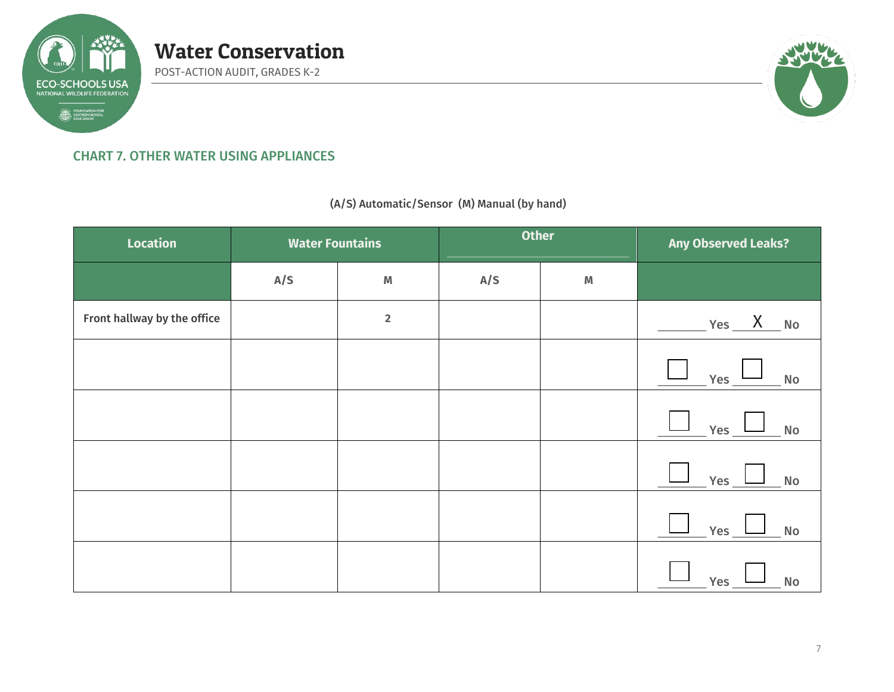

# CHART 7. OTHER WATER USING APPLIANCES

Water Conservation

POST-ACTION AUDIT, GRADES K-2

(A/S) Automatic/Sensor (M) Manual (by hand)

| <b>Location</b>             | <b>Water Fountains</b> |                         | <b>Other</b> |             | <b>Any Observed Leaks?</b>  |
|-----------------------------|------------------------|-------------------------|--------------|-------------|-----------------------------|
|                             | A/S                    | $\pmb{\mathbb{M}}$      | A/S          | $\mathbb M$ |                             |
| Front hallway by the office |                        | $\overline{\mathbf{2}}$ |              |             | $Yes$ No                    |
|                             |                        |                         |              |             | $Yes_$<br>$\mathsf{No}$     |
|                             |                        |                         |              |             | Yes<br>$\mathsf{No}$        |
|                             |                        |                         |              |             | Yes<br>$\mathsf{No}$        |
|                             |                        |                         |              |             | $\mathsf{No}$<br><b>Yes</b> |
|                             |                        |                         |              |             | <b>Yes</b><br>No            |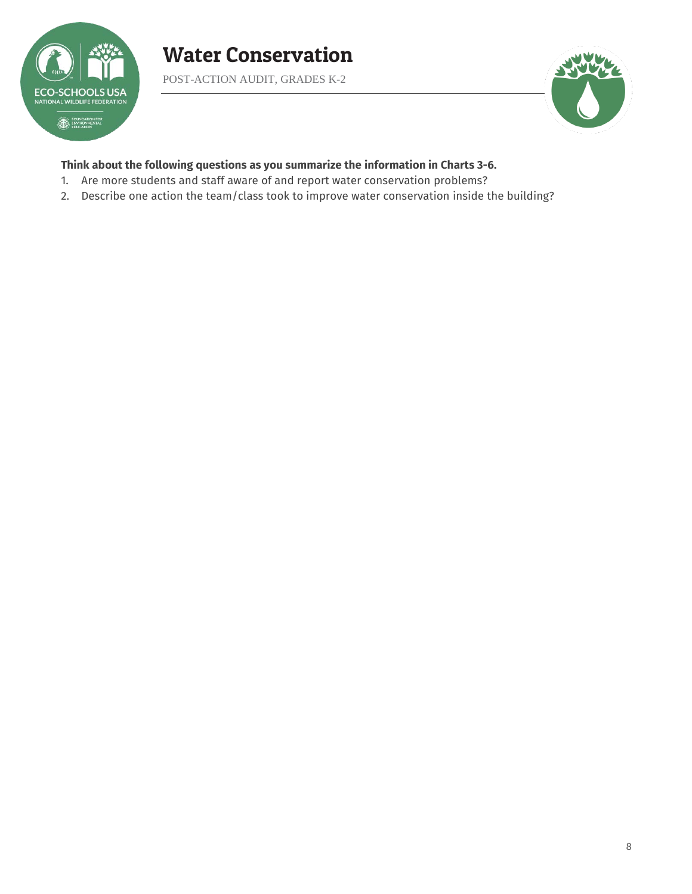

POST-ACTION AUDIT, GRADES K-2



### **Think about the following questions as you summarize the information in Charts 3-6.**

- 1. Are more students and staff aware of and report water conservation problems?
- 2. Describe one action the team/class took to improve water conservation inside the building?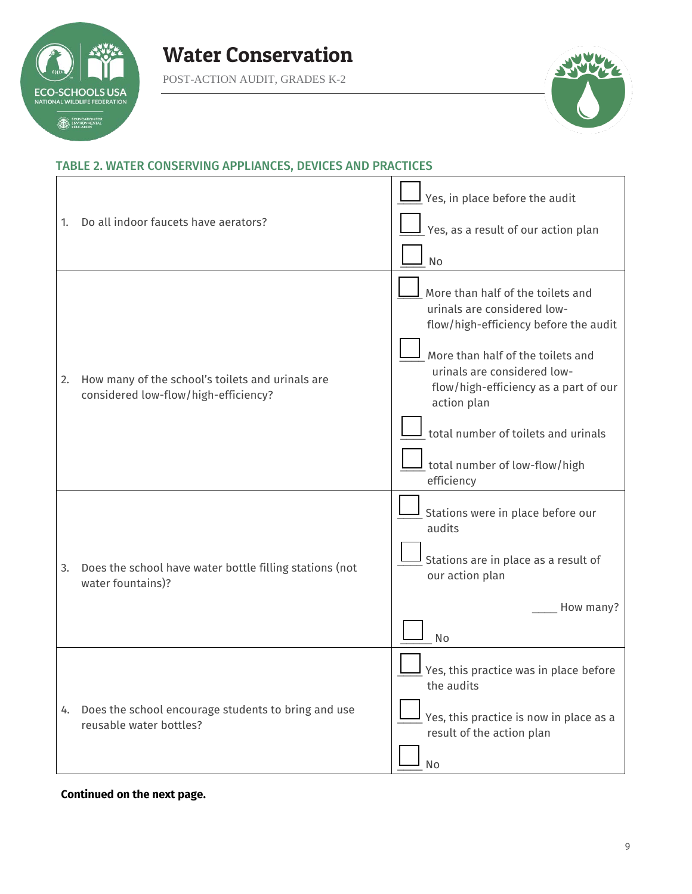

POST-ACTION AUDIT, GRADES K-2



 $\overline{\phantom{a}}$ 

# TABLE 2. WATER CONSERVING APPLIANCES, DEVICES AND PRACTICES

| 1. | Do all indoor faucets have aerators?                                                     | $\mathsf I$ Yes, in place before the audit<br>$\mathsf{\underline{I}}$ Yes, as a result of our action plan<br>No                                                                                                                                                                                                                    |
|----|------------------------------------------------------------------------------------------|-------------------------------------------------------------------------------------------------------------------------------------------------------------------------------------------------------------------------------------------------------------------------------------------------------------------------------------|
| 2. | How many of the school's toilets and urinals are<br>considered low-flow/high-efficiency? | More than half of the toilets and<br>urinals are considered low-<br>flow/high-efficiency before the audit<br>More than half of the toilets and<br>urinals are considered low-<br>flow/high-efficiency as a part of our<br>action plan<br>total number of toilets and urinals<br>$\perp$ total number of low-flow/high<br>efficiency |
| 3. | Does the school have water bottle filling stations (not<br>water fountains)?             | Stations were in place before our<br>audits<br>Stations are in place as a result of<br>our action plan<br>How many?<br>No                                                                                                                                                                                                           |
| 4. | Does the school encourage students to bring and use<br>reusable water bottles?           | Yes, this practice was in place before<br>the audits<br>Yes, this practice is now in place as a<br>result of the action plan<br>No                                                                                                                                                                                                  |

#### **Continued on the next page.**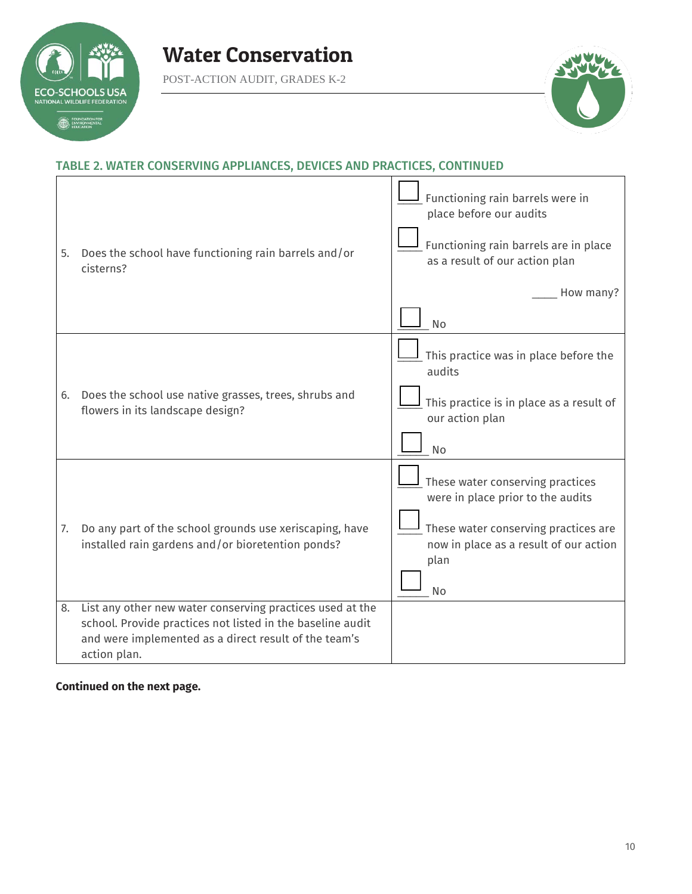

POST-ACTION AUDIT, GRADES K-2



# TABLE 2. WATER CONSERVING APPLIANCES, DEVICES AND PRACTICES, CONTINUED

| 5.       | Does the school have functioning rain barrels and/or<br>cisterns?                                                                                                         | Functioning rain barrels were in<br>place before our audits<br>Functioning rain barrels are in place<br>as a result of our action plan<br>How many?<br>No                    |
|----------|---------------------------------------------------------------------------------------------------------------------------------------------------------------------------|------------------------------------------------------------------------------------------------------------------------------------------------------------------------------|
| 6.       | Does the school use native grasses, trees, shrubs and<br>flowers in its landscape design?                                                                                 | This practice was in place before the<br>audits<br>This practice is in place as a result of<br>our action plan<br>No                                                         |
| 7.<br>8. | Do any part of the school grounds use xeriscaping, have<br>installed rain gardens and/or bioretention ponds?<br>List any other new water conserving practices used at the | These water conserving practices<br>were in place prior to the audits<br>These water conserving practices are<br>now in place as a result of our action<br>plan<br><b>No</b> |
|          | school. Provide practices not listed in the baseline audit<br>and were implemented as a direct result of the team's<br>action plan.                                       |                                                                                                                                                                              |

# **Continued on the next page.**